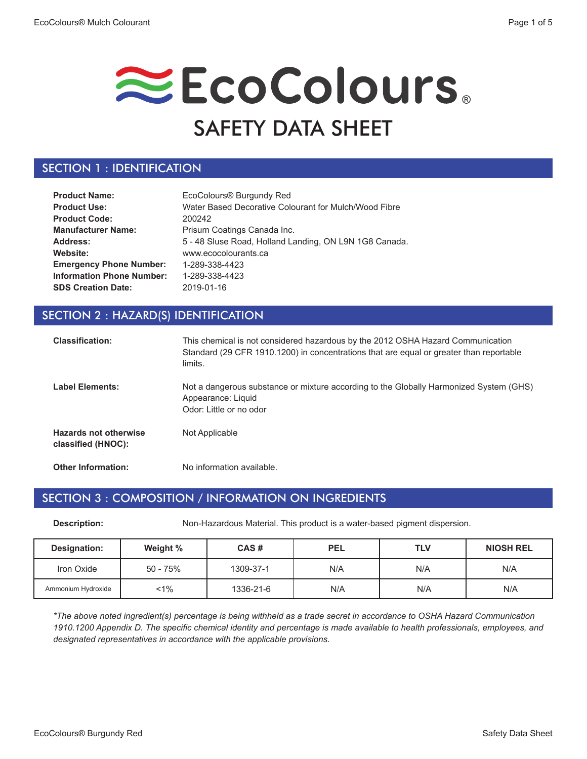# EcoColours. SAFETY DATA SHEET

### SECTION 1 : IDENTIFICATION

| <b>Product Name:</b>             | EcoColours <sup>®</sup> Burgundy Red                   |
|----------------------------------|--------------------------------------------------------|
| <b>Product Use:</b>              | Water Based Decorative Colourant for Mulch/Wood Fibre  |
| <b>Product Code:</b>             | 200242                                                 |
| <b>Manufacturer Name:</b>        | Prisum Coatings Canada Inc.                            |
| Address:                         | 5 - 48 Sluse Road, Holland Landing, ON L9N 1G8 Canada. |
| Website:                         | www.ecocolourants.ca                                   |
| <b>Emergency Phone Number:</b>   | 1-289-338-4423                                         |
| <b>Information Phone Number:</b> | 1-289-338-4423                                         |
| <b>SDS Creation Date:</b>        | 2019-01-16                                             |

### SECTION 2 : HAZARD(S) IDENTIFICATION

| <b>Classification:</b>                             | This chemical is not considered hazardous by the 2012 OSHA Hazard Communication<br>Standard (29 CFR 1910.1200) in concentrations that are equal or greater than reportable<br>limits. |
|----------------------------------------------------|---------------------------------------------------------------------------------------------------------------------------------------------------------------------------------------|
| <b>Label Elements:</b>                             | Not a dangerous substance or mixture according to the Globally Harmonized System (GHS)<br>Appearance: Liquid<br>Odor: Little or no odor                                               |
| <b>Hazards not otherwise</b><br>classified (HNOC): | Not Applicable                                                                                                                                                                        |
| <b>Other Information:</b>                          | No information available.                                                                                                                                                             |

#### SECTION 3 : COMPOSITION / INFORMATION ON INGREDIENTS

**Description:** Non-Hazardous Material. This product is a water-based pigment dispersion.

| Designation:       | Weight % | CAS#      | <b>PEL</b> | <b>TLV</b> | <b>NIOSH REL</b> |
|--------------------|----------|-----------|------------|------------|------------------|
| Iron Oxide         | 50 - 75% | 1309-37-1 | N/A        | N/A        | N/A              |
| Ammonium Hydroxide | $1\%$    | 1336-21-6 | N/A        | N/A        | N/A              |

*\*The above noted ingredient(s) percentage is being withheld as a trade secret in accordance to OSHA Hazard Communication 1910.1200 Appendix D. The specific chemical identity and percentage is made available to health professionals, employees, and designated representatives in accordance with the applicable provisions.*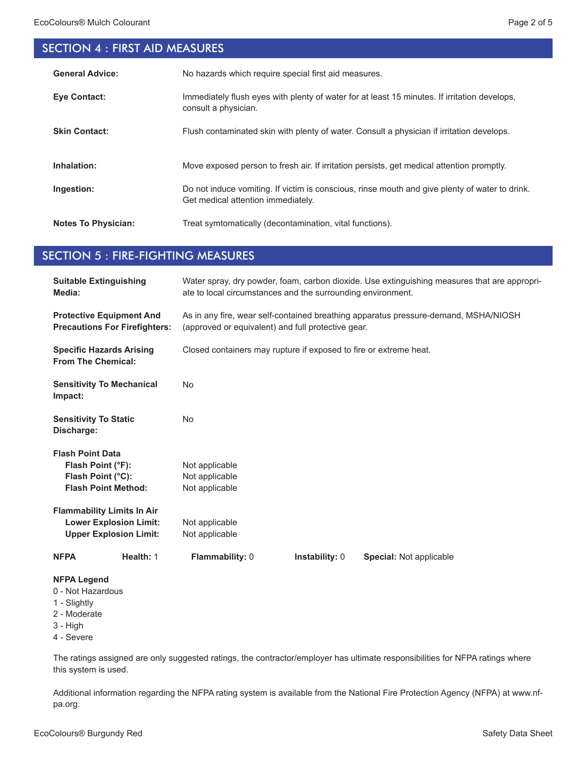# SECTION 4 : FIRST AID MEASURES

| <b>General Advice:</b>     | No hazards which require special first aid measures.                                                                                 |
|----------------------------|--------------------------------------------------------------------------------------------------------------------------------------|
| <b>Eve Contact:</b>        | Immediately flush eyes with plenty of water for at least 15 minutes. If irritation develops,<br>consult a physician.                 |
| <b>Skin Contact:</b>       | Flush contaminated skin with plenty of water. Consult a physician if irritation develops.                                            |
| Inhalation:                | Move exposed person to fresh air. If irritation persists, get medical attention promptly.                                            |
| Ingestion:                 | Do not induce vomiting. If victim is conscious, rinse mouth and give plenty of water to drink.<br>Get medical attention immediately. |
| <b>Notes To Physician:</b> | Treat symtomatically (decontamination, vital functions).                                                                             |

#### SECTION 5 : FIRE-FIGHTING MEASURES

| <b>Suitable Extinguishing</b><br>Media:                                                           | Water spray, dry powder, foam, carbon dioxide. Use extinguishing measures that are appropri-<br>ate to local circumstances and the surrounding environment. |  |  |
|---------------------------------------------------------------------------------------------------|-------------------------------------------------------------------------------------------------------------------------------------------------------------|--|--|
| <b>Protective Equipment And</b><br><b>Precautions For Firefighters:</b>                           | As in any fire, wear self-contained breathing apparatus pressure-demand, MSHA/NIOSH<br>(approved or equivalent) and full protective gear.                   |  |  |
| <b>Specific Hazards Arising</b><br><b>From The Chemical:</b>                                      | Closed containers may rupture if exposed to fire or extreme heat.                                                                                           |  |  |
| <b>Sensitivity To Mechanical</b><br>Impact:                                                       | <b>No</b>                                                                                                                                                   |  |  |
| <b>Sensitivity To Static</b><br>Discharge:                                                        | <b>No</b>                                                                                                                                                   |  |  |
| <b>Flash Point Data</b>                                                                           |                                                                                                                                                             |  |  |
| Flash Point (°F):                                                                                 | Not applicable                                                                                                                                              |  |  |
| Flash Point (°C):                                                                                 | Not applicable                                                                                                                                              |  |  |
| <b>Flash Point Method:</b>                                                                        | Not applicable                                                                                                                                              |  |  |
| <b>Flammability Limits In Air</b>                                                                 |                                                                                                                                                             |  |  |
| <b>Lower Explosion Limit:</b>                                                                     | Not applicable                                                                                                                                              |  |  |
| <b>Upper Explosion Limit:</b>                                                                     | Not applicable                                                                                                                                              |  |  |
| Health: 1<br><b>NFPA</b>                                                                          | Flammability: 0<br><b>Instability: 0</b><br><b>Special: Not applicable</b>                                                                                  |  |  |
| <b>NFPA Legend</b><br>0 - Not Hazardous<br>1 - Slightly<br>2 - Moderate<br>3 - High<br>4 - Severe |                                                                                                                                                             |  |  |

The ratings assigned are only suggested ratings, the contractor/employer has ultimate responsibilities for NFPA ratings where this system is used.

Additional information regarding the NFPA rating system is available from the National Fire Protection Agency (NFPA) at www.nfpa.org.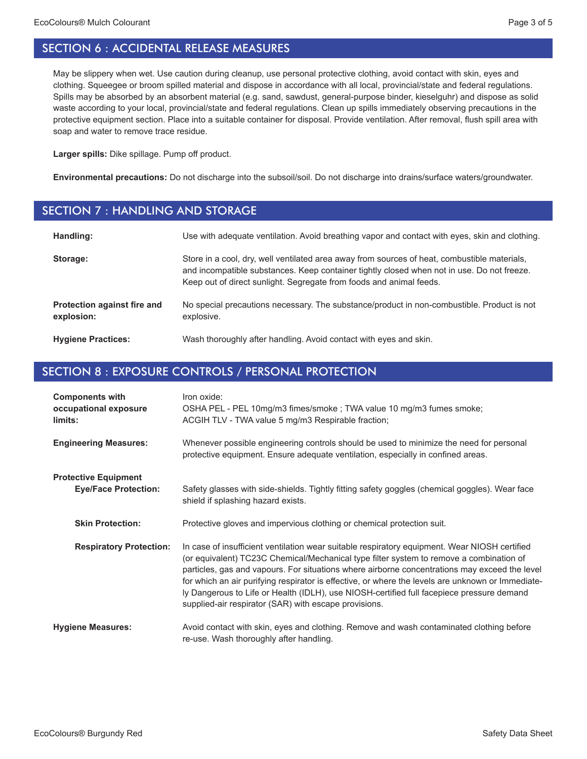May be slippery when wet. Use caution during cleanup, use personal protective clothing, avoid contact with skin, eyes and clothing. Squeegee or broom spilled material and dispose in accordance with all local, provincial/state and federal regulations. Spills may be absorbed by an absorbent material (e.g. sand, sawdust, general-purpose binder, kieselguhr) and dispose as solid waste according to your local, provincial/state and federal regulations. Clean up spills immediately observing precautions in the protective equipment section. Place into a suitable container for disposal. Provide ventilation. After removal, flush spill area with soap and water to remove trace residue.

**Larger spills:** Dike spillage. Pump off product.

**Environmental precautions:** Do not discharge into the subsoil/soil. Do not discharge into drains/surface waters/groundwater.

#### SECTION 7 : HANDLING AND STORAGE

| Handling:                                 | Use with adequate ventilation. Avoid breathing vapor and contact with eyes, skin and clothing.                                                                                                                                                                    |
|-------------------------------------------|-------------------------------------------------------------------------------------------------------------------------------------------------------------------------------------------------------------------------------------------------------------------|
| Storage:                                  | Store in a cool, dry, well ventilated area away from sources of heat, combustible materials,<br>and incompatible substances. Keep container tightly closed when not in use. Do not freeze.<br>Keep out of direct sunlight. Segregate from foods and animal feeds. |
| Protection against fire and<br>explosion: | No special precautions necessary. The substance/product in non-combustible. Product is not<br>explosive.                                                                                                                                                          |
| <b>Hygiene Practices:</b>                 | Wash thoroughly after handling. Avoid contact with eyes and skin.                                                                                                                                                                                                 |

#### SECTION 8 : EXPOSURE CONTROLS / PERSONAL PROTECTION

| <b>Components with</b><br>occupational exposure<br>limits: | Iron oxide:<br>OSHA PEL - PEL 10mg/m3 fimes/smoke ; TWA value 10 mg/m3 fumes smoke;<br>ACGIH TLV - TWA value 5 mg/m3 Respirable fraction;                                                                                                                                                                                                                                                                                                                                                                                                            |
|------------------------------------------------------------|------------------------------------------------------------------------------------------------------------------------------------------------------------------------------------------------------------------------------------------------------------------------------------------------------------------------------------------------------------------------------------------------------------------------------------------------------------------------------------------------------------------------------------------------------|
| <b>Engineering Measures:</b>                               | Whenever possible engineering controls should be used to minimize the need for personal<br>protective equipment. Ensure adequate ventilation, especially in confined areas.                                                                                                                                                                                                                                                                                                                                                                          |
| <b>Protective Equipment</b><br><b>Eye/Face Protection:</b> | Safety glasses with side-shields. Tightly fitting safety goggles (chemical goggles). Wear face<br>shield if splashing hazard exists.                                                                                                                                                                                                                                                                                                                                                                                                                 |
| <b>Skin Protection:</b>                                    | Protective gloves and impervious clothing or chemical protection suit.                                                                                                                                                                                                                                                                                                                                                                                                                                                                               |
| <b>Respiratory Protection:</b>                             | In case of insufficient ventilation wear suitable respiratory equipment. Wear NIOSH certified<br>(or equivalent) TC23C Chemical/Mechanical type filter system to remove a combination of<br>particles, gas and vapours. For situations where airborne concentrations may exceed the level<br>for which an air purifying respirator is effective, or where the levels are unknown or Immediate-<br>ly Dangerous to Life or Health (IDLH), use NIOSH-certified full facepiece pressure demand<br>supplied-air respirator (SAR) with escape provisions. |
| <b>Hygiene Measures:</b>                                   | Avoid contact with skin, eyes and clothing. Remove and wash contaminated clothing before<br>re-use. Wash thoroughly after handling.                                                                                                                                                                                                                                                                                                                                                                                                                  |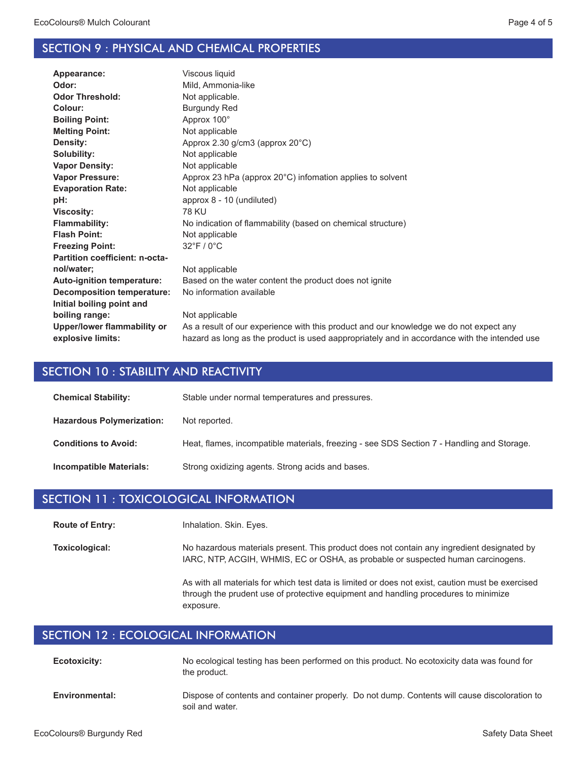#### SECTION 9 : PHYSICAL AND CHEMICAL PROPERTIES

| Appearance:                       | Viscous liquid                                                                               |
|-----------------------------------|----------------------------------------------------------------------------------------------|
| Odor:                             | Mild, Ammonia-like                                                                           |
| <b>Odor Threshold:</b>            | Not applicable.                                                                              |
| Colour:                           | <b>Burgundy Red</b>                                                                          |
| <b>Boiling Point:</b>             | Approx 100°                                                                                  |
| <b>Melting Point:</b>             | Not applicable                                                                               |
| Density:                          | Approx 2.30 g/cm3 (approx 20°C)                                                              |
| Solubility:                       | Not applicable                                                                               |
| <b>Vapor Density:</b>             | Not applicable                                                                               |
| <b>Vapor Pressure:</b>            | Approx 23 hPa (approx 20°C) infomation applies to solvent                                    |
| <b>Evaporation Rate:</b>          | Not applicable                                                                               |
| pH:                               | approx 8 - 10 (undiluted)                                                                    |
| <b>Viscosity:</b>                 | <b>78 KU</b>                                                                                 |
| <b>Flammability:</b>              | No indication of flammability (based on chemical structure)                                  |
| <b>Flash Point:</b>               | Not applicable                                                                               |
| <b>Freezing Point:</b>            | $32^{\circ}$ F / 0 $^{\circ}$ C                                                              |
| Partition coefficient: n-octa-    |                                                                                              |
| nol/water;                        | Not applicable                                                                               |
| <b>Auto-ignition temperature:</b> | Based on the water content the product does not ignite                                       |
| Decomposition temperature:        | No information available                                                                     |
| Initial boiling point and         |                                                                                              |
| boiling range:                    | Not applicable                                                                               |
| Upper/lower flammability or       | As a result of our experience with this product and our knowledge we do not expect any       |
| explosive limits:                 | hazard as long as the product is used aappropriately and in accordance with the intended use |
|                                   |                                                                                              |

#### SECTION 10 : STABILITY AND REACTIVITY

| <b>Chemical Stability:</b>       | Stable under normal temperatures and pressures.                                            |
|----------------------------------|--------------------------------------------------------------------------------------------|
| <b>Hazardous Polymerization:</b> | Not reported.                                                                              |
| <b>Conditions to Avoid:</b>      | Heat, flames, incompatible materials, freezing - see SDS Section 7 - Handling and Storage. |
| Incompatible Materials:          | Strong oxidizing agents. Strong acids and bases.                                           |

#### SECTION 11 : TOXICOLOGICAL INFORMATION

Inhalation. Skin. Eyes. **Route of Entry:**

No hazardous materials present. This product does not contain any ingredient designated by IARC, NTP, ACGIH, WHMIS, EC or OSHA, as probable or suspected human carcinogens. **Toxicological:**

> As with all materials for which test data is limited or does not exist, caution must be exercised through the prudent use of protective equipment and handling procedures to minimize exposure.

## SECTION 12 : ECOLOGICAL INFORMATION

soil and water.

| <b>Ecotoxicity:</b>   | No ecological testing has been performed on this product. No ecotoxicity data was found for<br>the product. |
|-----------------------|-------------------------------------------------------------------------------------------------------------|
| <b>Environmental:</b> | Dispose of contents and container properly. Do not dump. Contents will cause discoloration to               |